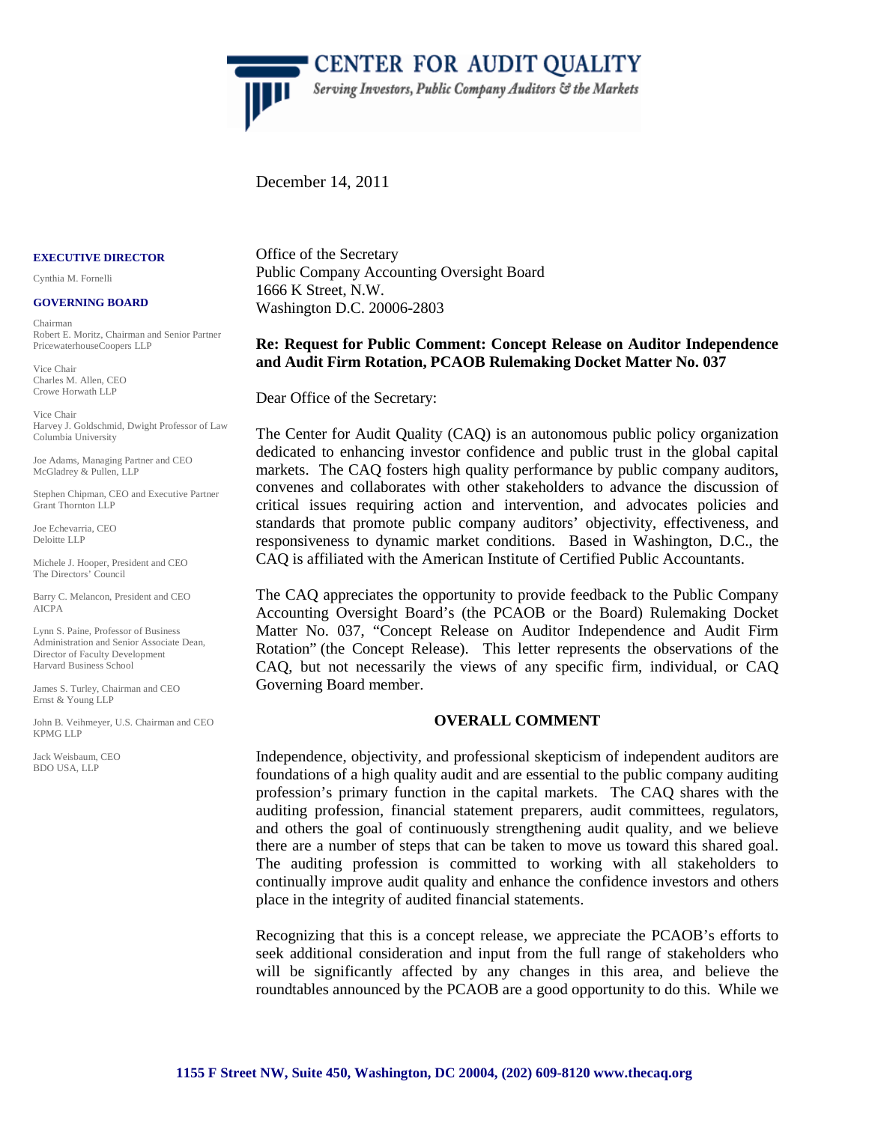

**CENTER FOR AUDIT QUALITY** Serving Investors, Public Company Auditors & the Markets

December 14, 2011

#### **EXECUTIVE DIRECTOR**

Cynthia M. Fornelli

#### **GOVERNING BOARD**

Chairman Robert E. Moritz, Chairman and Senior Partner PricewaterhouseCoopers LLP

Vice Chair Charles M. Allen, CEO Crowe Horwath LLP

Vice Chair Harvey J. Goldschmid, Dwight Professor of Law Columbia University

Joe Adams, Managing Partner and CEO McGladrey & Pullen, LLP

Stephen Chipman, CEO and Executive Partner Grant Thornton LLP

Joe Echevarria, CEO Deloitte LLP

Michele J. Hooper, President and CEO The Directors' Council

Barry C. Melancon, President and CEO AICPA

Lynn S. Paine, Professor of Business Administration and Senior Associate Dean, Director of Faculty Development Harvard Business School

James S. Turley, Chairman and CEO Ernst & Young LLP

John B. Veihmeyer, U.S. Chairman and CEO KPMG LLP

Jack Weisbaum, CEO BDO USA, LLP

Office of the Secretary Public Company Accounting Oversight Board 1666 K Street, N.W. Washington D.C. 20006-2803

### **Re: Request for Public Comment: Concept Release on Auditor Independence and Audit Firm Rotation, PCAOB Rulemaking Docket Matter No. 037**

Dear Office of the Secretary:

The Center for Audit Quality (CAQ) is an autonomous public policy organization dedicated to enhancing investor confidence and public trust in the global capital markets. The CAQ fosters high quality performance by public company auditors, convenes and collaborates with other stakeholders to advance the discussion of critical issues requiring action and intervention, and advocates policies and standards that promote public company auditors' objectivity, effectiveness, and responsiveness to dynamic market conditions. Based in Washington, D.C., the CAQ is affiliated with the American Institute of Certified Public Accountants.

The CAQ appreciates the opportunity to provide feedback to the Public Company Accounting Oversight Board's (the PCAOB or the Board) Rulemaking Docket Matter No. 037, "Concept Release on Auditor Independence and Audit Firm Rotation" (the Concept Release). This letter represents the observations of the CAQ, but not necessarily the views of any specific firm, individual, or CAQ Governing Board member.

### **OVERALL COMMENT**

Independence, objectivity, and professional skepticism of independent auditors are foundations of a high quality audit and are essential to the public company auditing profession's primary function in the capital markets. The CAQ shares with the auditing profession, financial statement preparers, audit committees, regulators, and others the goal of continuously strengthening audit quality, and we believe there are a number of steps that can be taken to move us toward this shared goal. The auditing profession is committed to working with all stakeholders to continually improve audit quality and enhance the confidence investors and others place in the integrity of audited financial statements.

Recognizing that this is a concept release, we appreciate the PCAOB's efforts to seek additional consideration and input from the full range of stakeholders who will be significantly affected by any changes in this area, and believe the roundtables announced by the PCAOB are a good opportunity to do this. While we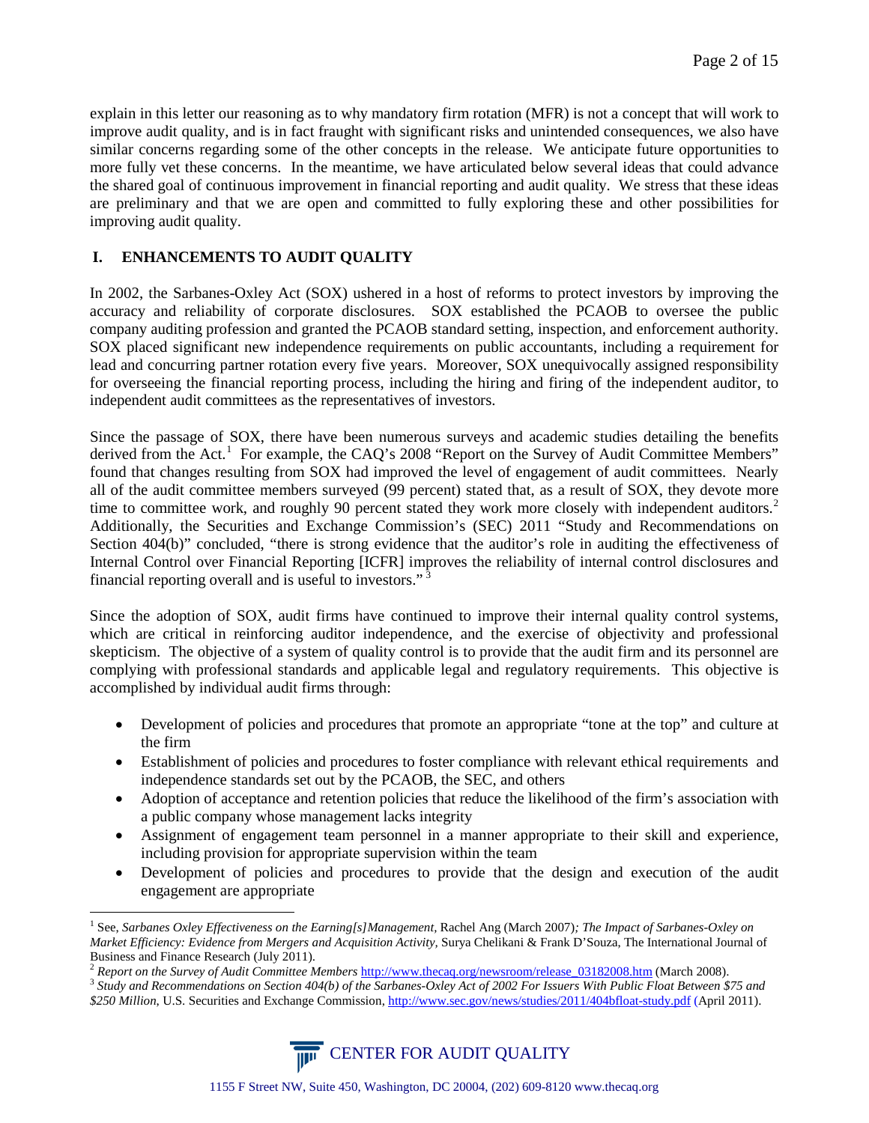explain in this letter our reasoning as to why mandatory firm rotation (MFR) is not a concept that will work to improve audit quality, and is in fact fraught with significant risks and unintended consequences, we also have similar concerns regarding some of the other concepts in the release. We anticipate future opportunities to more fully vet these concerns. In the meantime, we have articulated below several ideas that could advance the shared goal of continuous improvement in financial reporting and audit quality. We stress that these ideas are preliminary and that we are open and committed to fully exploring these and other possibilities for improving audit quality.

# **I. ENHANCEMENTS TO AUDIT QUALITY**

In 2002, the Sarbanes-Oxley Act (SOX) ushered in a host of reforms to protect investors by improving the accuracy and reliability of corporate disclosures. SOX established the PCAOB to oversee the public company auditing profession and granted the PCAOB standard setting, inspection, and enforcement authority. SOX placed significant new independence requirements on public accountants, including a requirement for lead and concurring partner rotation every five years. Moreover, SOX unequivocally assigned responsibility for overseeing the financial reporting process, including the hiring and firing of the independent auditor, to independent audit committees as the representatives of investors.

Since the passage of SOX, there have been numerous surveys and academic studies detailing the benefits derived from the Act.<sup>[1](#page-1-0)</sup> For example, the CAQ's 2008 "Report on the Survey of Audit Committee Members" found that changes resulting from SOX had improved the level of engagement of audit committees. Nearly all of the audit committee members surveyed (99 percent) stated that, as a result of SOX, they devote more time to committee work, and roughly 90 percent stated they work more closely with independent auditors.<sup>[2](#page-1-1)</sup> Additionally, the Securities and Exchange Commission's (SEC) 2011 "Study and Recommendations on Section 404(b)" concluded, "there is strong evidence that the auditor's role in auditing the effectiveness of Internal Control over Financial Reporting [ICFR] improves the reliability of internal control disclosures and financial reporting overall and is useful to investors."<sup>[3](#page-1-2)</sup>

Since the adoption of SOX, audit firms have continued to improve their internal quality control systems, which are critical in reinforcing auditor independence, and the exercise of objectivity and professional skepticism. The objective of a system of quality control is to provide that the audit firm and its personnel are complying with professional standards and applicable legal and regulatory requirements. This objective is accomplished by individual audit firms through:

- Development of policies and procedures that promote an appropriate "tone at the top" and culture at the firm
- Establishment of policies and procedures to foster compliance with relevant ethical requirements and independence standards set out by the PCAOB, the SEC, and others
- Adoption of acceptance and retention policies that reduce the likelihood of the firm's association with a public company whose management lacks integrity
- Assignment of engagement team personnel in a manner appropriate to their skill and experience, including provision for appropriate supervision within the team
- Development of policies and procedures to provide that the design and execution of the audit engagement are appropriate

<span id="page-1-2"></span>*<sup>\$250</sup> Million*, U.S. Securities and Exchange Commission[, http://www.sec.gov/news/studies/2011/404bfloat-study.pdf](http://www.sec.gov/news/studies/2011/404bfloat-study.pdf) (April 2011).



<span id="page-1-0"></span> <sup>1</sup> See, *Sarbanes Oxley Effectiveness on the Earning[s]Management,* Rachel Ang (March 2007)*; The Impact of Sarbanes-Oxley on Market Efficiency: Evidence from Mergers and Acquisition Activity,* Surya Chelikani & Frank D'Souza, The International Journal of Business and Finance Research (July 2011).<br><sup>2</sup> Report on the Survey of Audit Committee Members http://www.thecaq.org/newsroom/release 03182008.htm (March 2008).<br><sup>3</sup> Study and Recommendations on Section 404(b) of the Sarban

<span id="page-1-1"></span>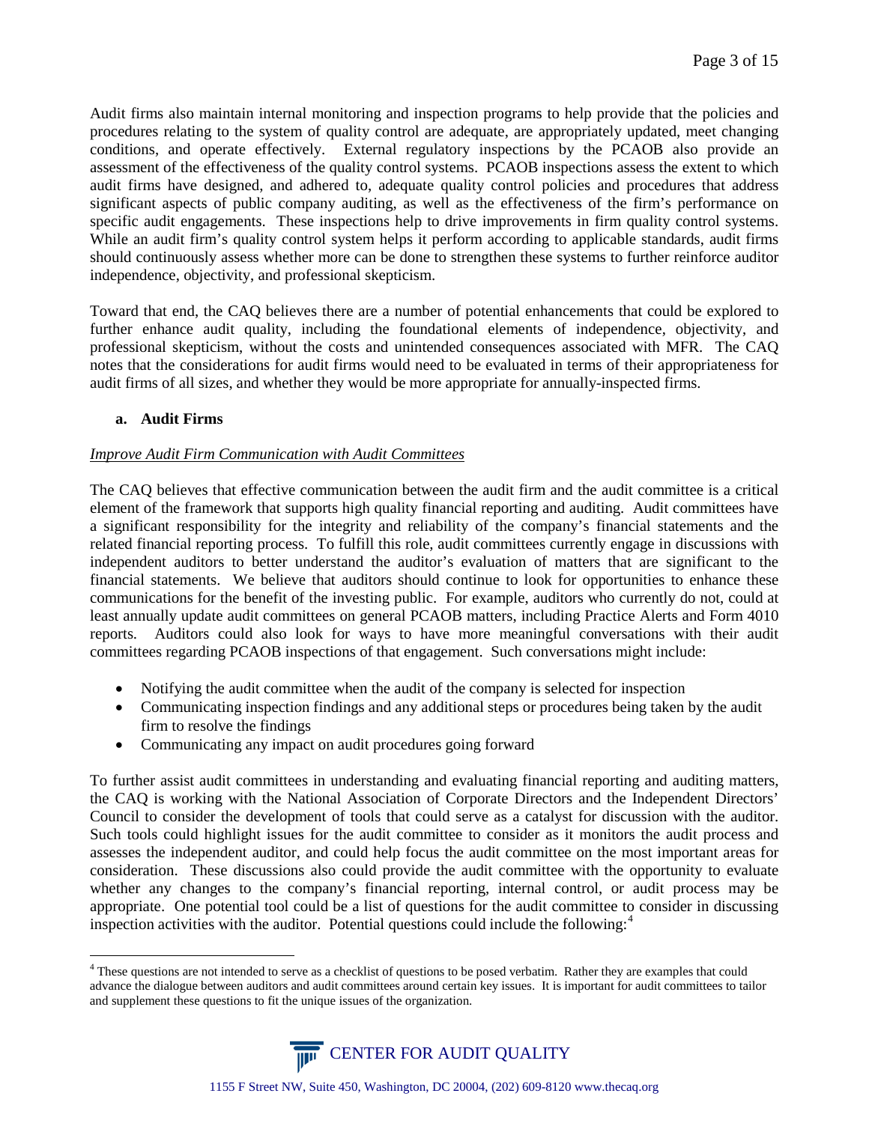Audit firms also maintain internal monitoring and inspection programs to help provide that the policies and procedures relating to the system of quality control are adequate, are appropriately updated, meet changing conditions, and operate effectively. External regulatory inspections by the PCAOB also provide an assessment of the effectiveness of the quality control systems. PCAOB inspections assess the extent to which audit firms have designed, and adhered to, adequate quality control policies and procedures that address significant aspects of public company auditing, as well as the effectiveness of the firm's performance on specific audit engagements. These inspections help to drive improvements in firm quality control systems. While an audit firm's quality control system helps it perform according to applicable standards, audit firms should continuously assess whether more can be done to strengthen these systems to further reinforce auditor independence, objectivity, and professional skepticism.

Toward that end, the CAQ believes there are a number of potential enhancements that could be explored to further enhance audit quality, including the foundational elements of independence, objectivity, and professional skepticism, without the costs and unintended consequences associated with MFR. The CAQ notes that the considerations for audit firms would need to be evaluated in terms of their appropriateness for audit firms of all sizes, and whether they would be more appropriate for annually-inspected firms.

### **a. Audit Firms**

### *Improve Audit Firm Communication with Audit Committees*

The CAQ believes that effective communication between the audit firm and the audit committee is a critical element of the framework that supports high quality financial reporting and auditing. Audit committees have a significant responsibility for the integrity and reliability of the company's financial statements and the related financial reporting process. To fulfill this role, audit committees currently engage in discussions with independent auditors to better understand the auditor's evaluation of matters that are significant to the financial statements. We believe that auditors should continue to look for opportunities to enhance these communications for the benefit of the investing public. For example, auditors who currently do not, could at least annually update audit committees on general PCAOB matters, including Practice Alerts and Form 4010 reports. Auditors could also look for ways to have more meaningful conversations with their audit committees regarding PCAOB inspections of that engagement. Such conversations might include:

- Notifying the audit committee when the audit of the company is selected for inspection
- Communicating inspection findings and any additional steps or procedures being taken by the audit firm to resolve the findings
- Communicating any impact on audit procedures going forward

To further assist audit committees in understanding and evaluating financial reporting and auditing matters, the CAQ is working with the National Association of Corporate Directors and the Independent Directors' Council to consider the development of tools that could serve as a catalyst for discussion with the auditor. Such tools could highlight issues for the audit committee to consider as it monitors the audit process and assesses the independent auditor, and could help focus the audit committee on the most important areas for consideration. These discussions also could provide the audit committee with the opportunity to evaluate whether any changes to the company's financial reporting, internal control, or audit process may be appropriate. One potential tool could be a list of questions for the audit committee to consider in discussing inspection activities with the auditor. Potential questions could include the following: $4$ 

<span id="page-2-0"></span><sup>&</sup>lt;sup>4</sup> These questions are not intended to serve as a checklist of questions to be posed verbatim. Rather they are examples that could advance the dialogue between auditors and audit committees around certain key issues. It is important for audit committees to tailor and supplement these questions to fit the unique issues of the organization.

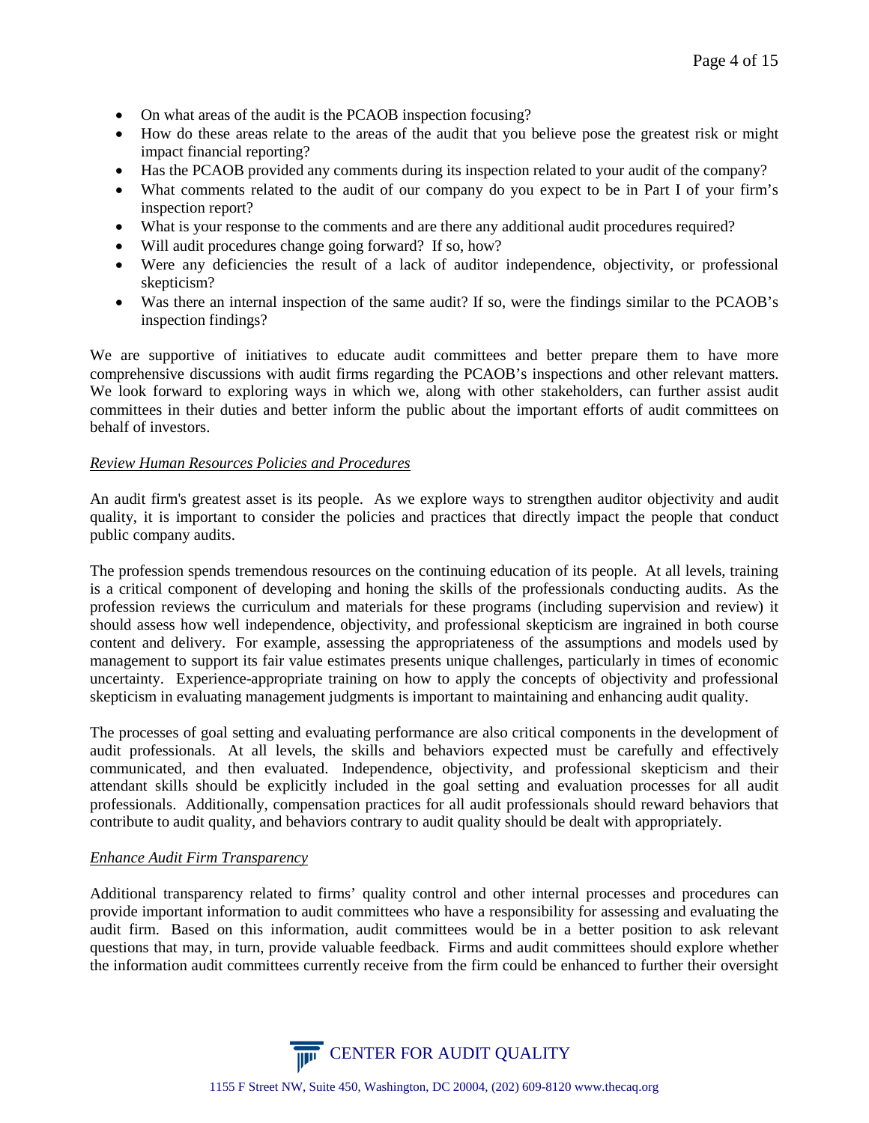- On what areas of the audit is the PCAOB inspection focusing?
- How do these areas relate to the areas of the audit that you believe pose the greatest risk or might impact financial reporting?
- Has the PCAOB provided any comments during its inspection related to your audit of the company?
- What comments related to the audit of our company do you expect to be in Part I of your firm's inspection report?
- What is your response to the comments and are there any additional audit procedures required?
- Will audit procedures change going forward? If so, how?
- Were any deficiencies the result of a lack of auditor independence, objectivity, or professional skepticism?
- Was there an internal inspection of the same audit? If so, were the findings similar to the PCAOB's inspection findings?

We are supportive of initiatives to educate audit committees and better prepare them to have more comprehensive discussions with audit firms regarding the PCAOB's inspections and other relevant matters. We look forward to exploring ways in which we, along with other stakeholders, can further assist audit committees in their duties and better inform the public about the important efforts of audit committees on behalf of investors.

### *Review Human Resources Policies and Procedures*

An audit firm's greatest asset is its people. As we explore ways to strengthen auditor objectivity and audit quality, it is important to consider the policies and practices that directly impact the people that conduct public company audits.

The profession spends tremendous resources on the continuing education of its people. At all levels, training is a critical component of developing and honing the skills of the professionals conducting audits. As the profession reviews the curriculum and materials for these programs (including supervision and review) it should assess how well independence, objectivity, and professional skepticism are ingrained in both course content and delivery. For example, assessing the appropriateness of the assumptions and models used by management to support its fair value estimates presents unique challenges, particularly in times of economic uncertainty. Experience-appropriate training on how to apply the concepts of objectivity and professional skepticism in evaluating management judgments is important to maintaining and enhancing audit quality.

The processes of goal setting and evaluating performance are also critical components in the development of audit professionals. At all levels, the skills and behaviors expected must be carefully and effectively communicated, and then evaluated. Independence, objectivity, and professional skepticism and their attendant skills should be explicitly included in the goal setting and evaluation processes for all audit professionals. Additionally, compensation practices for all audit professionals should reward behaviors that contribute to audit quality, and behaviors contrary to audit quality should be dealt with appropriately.

### *Enhance Audit Firm Transparency*

Additional transparency related to firms' quality control and other internal processes and procedures can provide important information to audit committees who have a responsibility for assessing and evaluating the audit firm. Based on this information, audit committees would be in a better position to ask relevant questions that may, in turn, provide valuable feedback. Firms and audit committees should explore whether the information audit committees currently receive from the firm could be enhanced to further their oversight

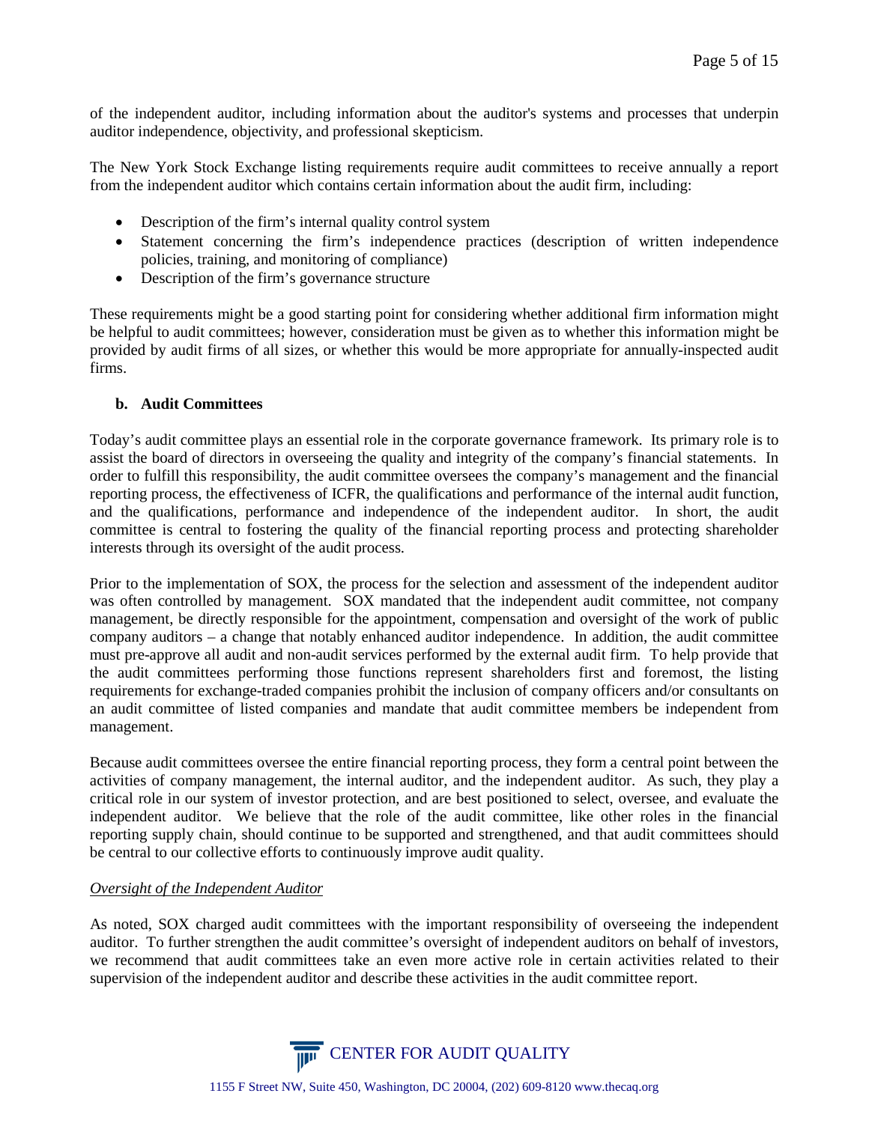of the independent auditor, including information about the auditor's systems and processes that underpin auditor independence, objectivity, and professional skepticism.

The New York Stock Exchange listing requirements require audit committees to receive annually a report from the independent auditor which contains certain information about the audit firm, including:

- Description of the firm's internal quality control system
- Statement concerning the firm's independence practices (description of written independence policies, training, and monitoring of compliance)
- Description of the firm's governance structure

These requirements might be a good starting point for considering whether additional firm information might be helpful to audit committees; however, consideration must be given as to whether this information might be provided by audit firms of all sizes, or whether this would be more appropriate for annually-inspected audit firms.

### **b. Audit Committees**

Today's audit committee plays an essential role in the corporate governance framework. Its primary role is to assist the board of directors in overseeing the quality and integrity of the company's financial statements. In order to fulfill this responsibility, the audit committee oversees the company's management and the financial reporting process, the effectiveness of ICFR, the qualifications and performance of the internal audit function, and the qualifications, performance and independence of the independent auditor. In short, the audit committee is central to fostering the quality of the financial reporting process and protecting shareholder interests through its oversight of the audit process.

Prior to the implementation of SOX, the process for the selection and assessment of the independent auditor was often controlled by management. SOX mandated that the independent audit committee, not company management, be directly responsible for the appointment, compensation and oversight of the work of public company auditors – a change that notably enhanced auditor independence. In addition, the audit committee must pre-approve all audit and non-audit services performed by the external audit firm. To help provide that the audit committees performing those functions represent shareholders first and foremost, the listing requirements for exchange-traded companies prohibit the inclusion of company officers and/or consultants on an audit committee of listed companies and mandate that audit committee members be independent from management.

Because audit committees oversee the entire financial reporting process, they form a central point between the activities of company management, the internal auditor, and the independent auditor. As such, they play a critical role in our system of investor protection, and are best positioned to select, oversee, and evaluate the independent auditor. We believe that the role of the audit committee, like other roles in the financial reporting supply chain, should continue to be supported and strengthened, and that audit committees should be central to our collective efforts to continuously improve audit quality.

### *Oversight of the Independent Auditor*

As noted, SOX charged audit committees with the important responsibility of overseeing the independent auditor. To further strengthen the audit committee's oversight of independent auditors on behalf of investors, we recommend that audit committees take an even more active role in certain activities related to their supervision of the independent auditor and describe these activities in the audit committee report.

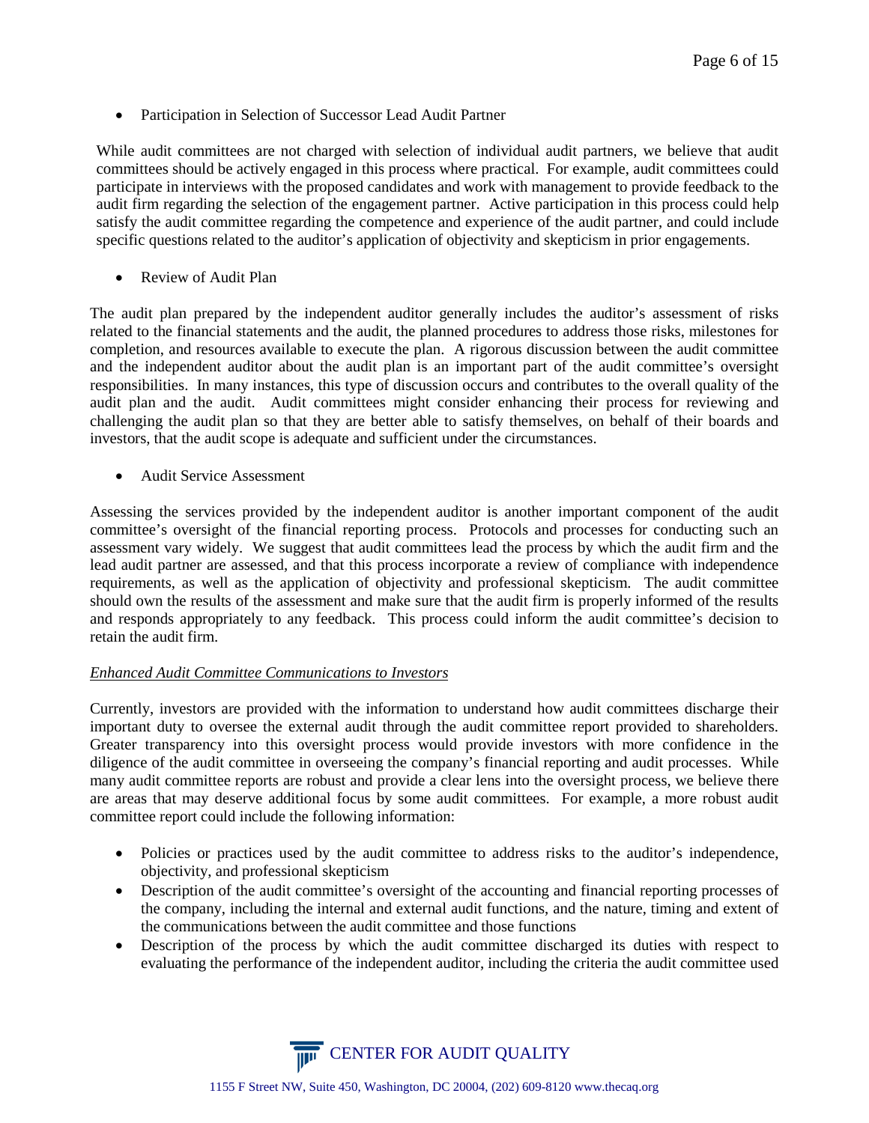• Participation in Selection of Successor Lead Audit Partner

While audit committees are not charged with selection of individual audit partners, we believe that audit committees should be actively engaged in this process where practical. For example, audit committees could participate in interviews with the proposed candidates and work with management to provide feedback to the audit firm regarding the selection of the engagement partner. Active participation in this process could help satisfy the audit committee regarding the competence and experience of the audit partner, and could include specific questions related to the auditor's application of objectivity and skepticism in prior engagements.

• Review of Audit Plan

The audit plan prepared by the independent auditor generally includes the auditor's assessment of risks related to the financial statements and the audit, the planned procedures to address those risks, milestones for completion, and resources available to execute the plan. A rigorous discussion between the audit committee and the independent auditor about the audit plan is an important part of the audit committee's oversight responsibilities. In many instances, this type of discussion occurs and contributes to the overall quality of the audit plan and the audit. Audit committees might consider enhancing their process for reviewing and challenging the audit plan so that they are better able to satisfy themselves, on behalf of their boards and investors, that the audit scope is adequate and sufficient under the circumstances.

• Audit Service Assessment

Assessing the services provided by the independent auditor is another important component of the audit committee's oversight of the financial reporting process. Protocols and processes for conducting such an assessment vary widely. We suggest that audit committees lead the process by which the audit firm and the lead audit partner are assessed, and that this process incorporate a review of compliance with independence requirements, as well as the application of objectivity and professional skepticism. The audit committee should own the results of the assessment and make sure that the audit firm is properly informed of the results and responds appropriately to any feedback. This process could inform the audit committee's decision to retain the audit firm.

### *Enhanced Audit Committee Communications to Investors*

Currently, investors are provided with the information to understand how audit committees discharge their important duty to oversee the external audit through the audit committee report provided to shareholders. Greater transparency into this oversight process would provide investors with more confidence in the diligence of the audit committee in overseeing the company's financial reporting and audit processes. While many audit committee reports are robust and provide a clear lens into the oversight process, we believe there are areas that may deserve additional focus by some audit committees. For example, a more robust audit committee report could include the following information:

- Policies or practices used by the audit committee to address risks to the auditor's independence, objectivity, and professional skepticism
- Description of the audit committee's oversight of the accounting and financial reporting processes of the company, including the internal and external audit functions, and the nature, timing and extent of the communications between the audit committee and those functions
- Description of the process by which the audit committee discharged its duties with respect to evaluating the performance of the independent auditor, including the criteria the audit committee used

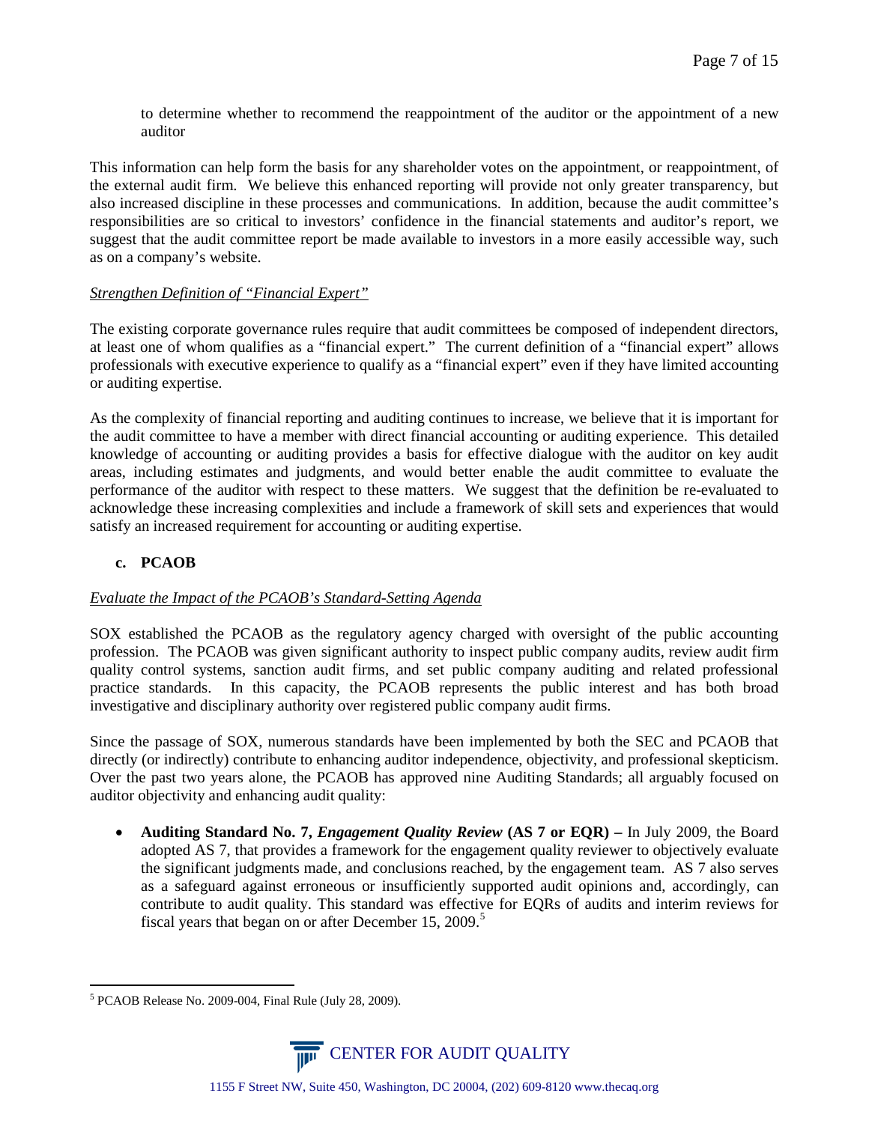to determine whether to recommend the reappointment of the auditor or the appointment of a new auditor

This information can help form the basis for any shareholder votes on the appointment, or reappointment, of the external audit firm. We believe this enhanced reporting will provide not only greater transparency, but also increased discipline in these processes and communications. In addition, because the audit committee's responsibilities are so critical to investors' confidence in the financial statements and auditor's report, we suggest that the audit committee report be made available to investors in a more easily accessible way, such as on a company's website.

# *Strengthen Definition of "Financial Expert"*

The existing corporate governance rules require that audit committees be composed of independent directors, at least one of whom qualifies as a "financial expert." The current definition of a "financial expert" allows professionals with executive experience to qualify as a "financial expert" even if they have limited accounting or auditing expertise.

As the complexity of financial reporting and auditing continues to increase, we believe that it is important for the audit committee to have a member with direct financial accounting or auditing experience. This detailed knowledge of accounting or auditing provides a basis for effective dialogue with the auditor on key audit areas, including estimates and judgments, and would better enable the audit committee to evaluate the performance of the auditor with respect to these matters. We suggest that the definition be re-evaluated to acknowledge these increasing complexities and include a framework of skill sets and experiences that would satisfy an increased requirement for accounting or auditing expertise.

# **c. PCAOB**

### *Evaluate the Impact of the PCAOB's Standard-Setting Agenda*

SOX established the PCAOB as the regulatory agency charged with oversight of the public accounting profession. The PCAOB was given significant authority to inspect public company audits, review audit firm quality control systems, sanction audit firms, and set public company auditing and related professional practice standards. In this capacity, the PCAOB represents the public interest and has both broad investigative and disciplinary authority over registered public company audit firms.

Since the passage of SOX, numerous standards have been implemented by both the SEC and PCAOB that directly (or indirectly) contribute to enhancing auditor independence, objectivity, and professional skepticism. Over the past two years alone, the PCAOB has approved nine Auditing Standards; all arguably focused on auditor objectivity and enhancing audit quality:

• **Auditing Standard No. 7,** *Engagement Quality Review* **(AS 7 or EQR) –** In July 2009, the Board adopted AS 7, that provides a framework for the engagement quality reviewer to objectively evaluate the significant judgments made, and conclusions reached, by the engagement team. AS 7 also serves as a safeguard against erroneous or insufficiently supported audit opinions and, accordingly, can contribute to audit quality. This standard was effective for EQRs of audits and interim reviews for fiscal years that began on or after December 1[5](#page-6-0), 2009.<sup>5</sup>

<span id="page-6-0"></span> <sup>5</sup> PCAOB Release No. 2009-004, Final Rule (July 28, 2009).

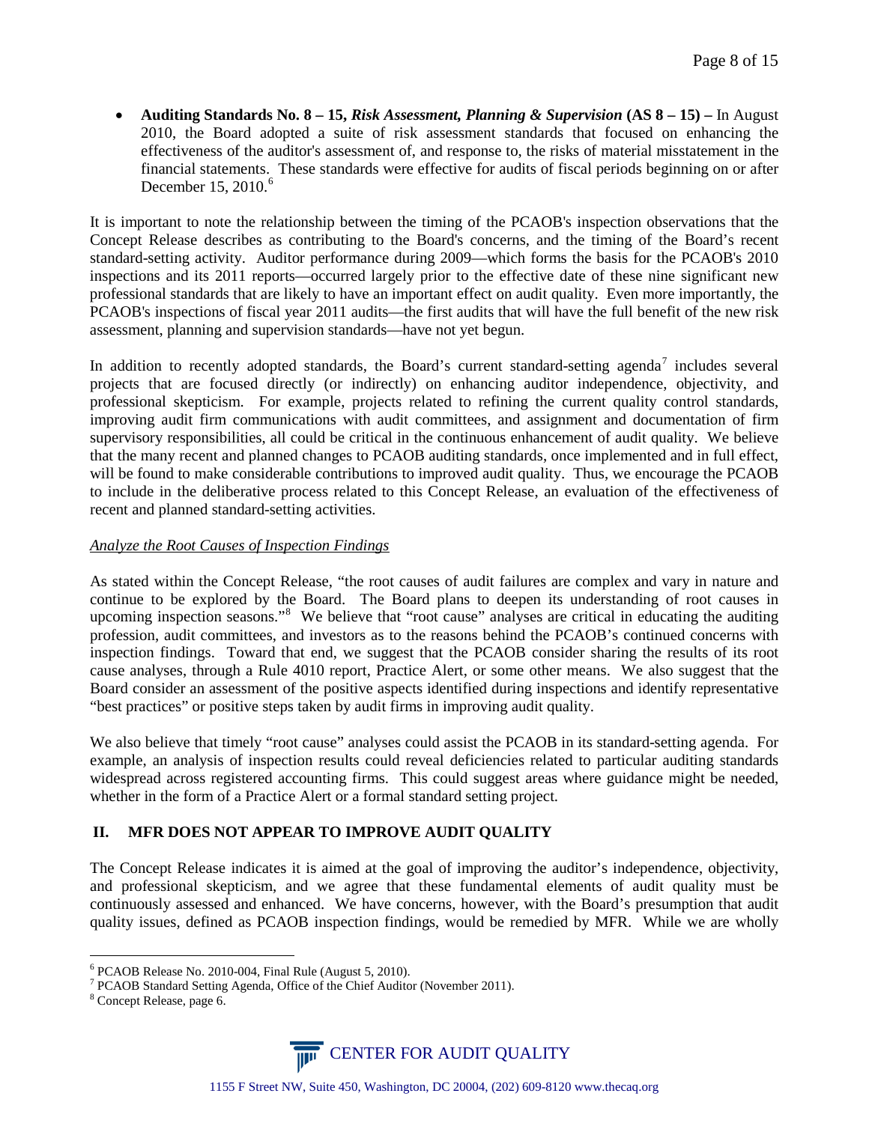• **Auditing Standards No. 8 – 15,** *Risk Assessment, Planning & Supervision* **(AS 8 – 15) –** In August 2010, the Board adopted a suite of risk assessment standards that focused on enhancing the effectiveness of the auditor's assessment of, and response to, the risks of material misstatement in the financial statements. These standards were effective for audits of fiscal periods beginning on or after December 15, 2010. $^6$  $^6$ 

It is important to note the relationship between the timing of the PCAOB's inspection observations that the Concept Release describes as contributing to the Board's concerns, and the timing of the Board's recent standard-setting activity. Auditor performance during 2009—which forms the basis for the PCAOB's 2010 inspections and its 2011 reports—occurred largely prior to the effective date of these nine significant new professional standards that are likely to have an important effect on audit quality. Even more importantly, the PCAOB's inspections of fiscal year 2011 audits—the first audits that will have the full benefit of the new risk assessment, planning and supervision standards—have not yet begun.

In addition to recently adopted standards, the Board's current standard-setting agenda<sup>[7](#page-7-1)</sup> includes several projects that are focused directly (or indirectly) on enhancing auditor independence, objectivity, and professional skepticism. For example, projects related to refining the current quality control standards, improving audit firm communications with audit committees, and assignment and documentation of firm supervisory responsibilities, all could be critical in the continuous enhancement of audit quality. We believe that the many recent and planned changes to PCAOB auditing standards, once implemented and in full effect, will be found to make considerable contributions to improved audit quality. Thus, we encourage the PCAOB to include in the deliberative process related to this Concept Release, an evaluation of the effectiveness of recent and planned standard-setting activities.

# *Analyze the Root Causes of Inspection Findings*

As stated within the Concept Release, "the root causes of audit failures are complex and vary in nature and continue to be explored by the Board. The Board plans to deepen its understanding of root causes in upcoming inspection seasons."<sup>[8](#page-7-2)</sup> We believe that "root cause" analyses are critical in educating the auditing profession, audit committees, and investors as to the reasons behind the PCAOB's continued concerns with inspection findings. Toward that end, we suggest that the PCAOB consider sharing the results of its root cause analyses, through a Rule 4010 report, Practice Alert, or some other means. We also suggest that the Board consider an assessment of the positive aspects identified during inspections and identify representative "best practices" or positive steps taken by audit firms in improving audit quality.

We also believe that timely "root cause" analyses could assist the PCAOB in its standard-setting agenda. For example, an analysis of inspection results could reveal deficiencies related to particular auditing standards widespread across registered accounting firms. This could suggest areas where guidance might be needed, whether in the form of a Practice Alert or a formal standard setting project.

# **II. MFR DOES NOT APPEAR TO IMPROVE AUDIT QUALITY**

The Concept Release indicates it is aimed at the goal of improving the auditor's independence, objectivity, and professional skepticism, and we agree that these fundamental elements of audit quality must be continuously assessed and enhanced. We have concerns, however, with the Board's presumption that audit quality issues, defined as PCAOB inspection findings, would be remedied by MFR. While we are wholly



<span id="page-7-1"></span><span id="page-7-0"></span><sup>&</sup>lt;sup>6</sup> PCAOB Release No. 2010-004, Final Rule (August 5, 2010).<br><sup>7</sup> PCAOB Standard Setting Agenda, Office of the Chief Auditor (November 2011). 8 Concept Release, page 6.

<span id="page-7-2"></span>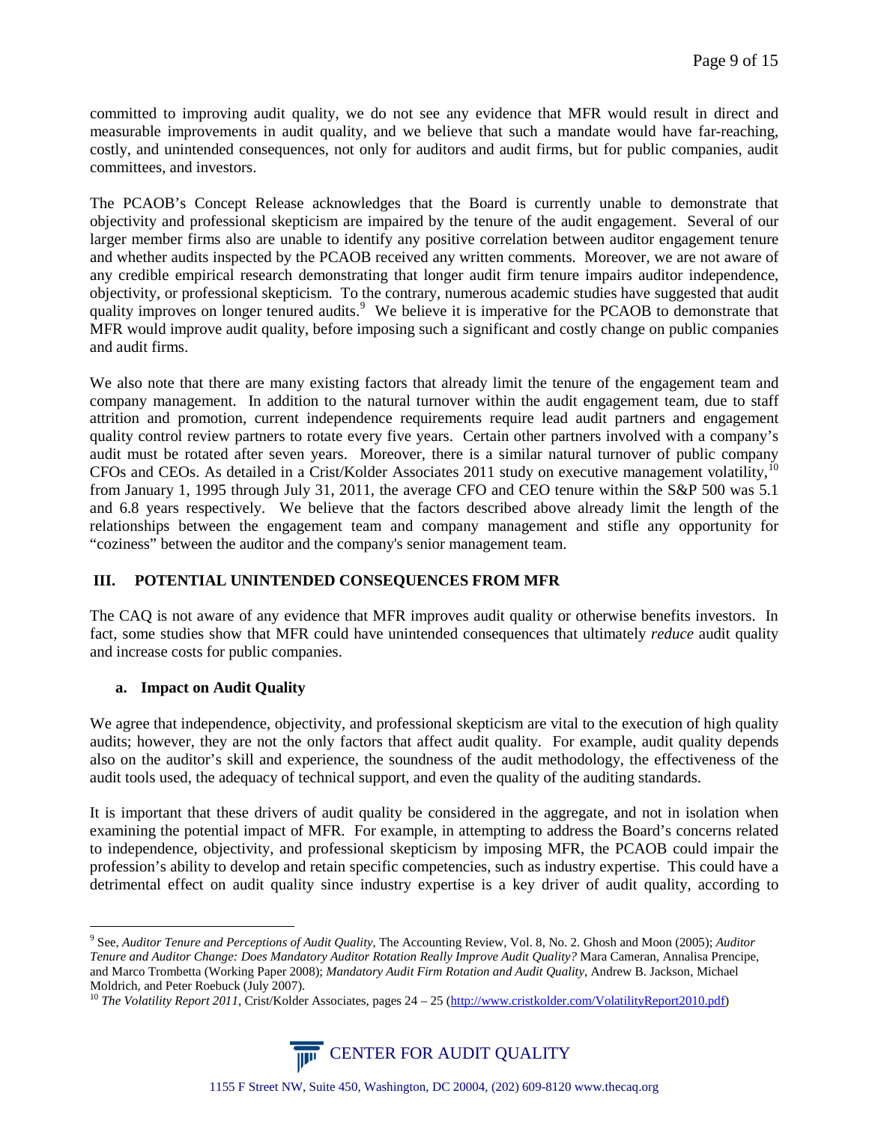committed to improving audit quality, we do not see any evidence that MFR would result in direct and measurable improvements in audit quality, and we believe that such a mandate would have far-reaching, costly, and unintended consequences, not only for auditors and audit firms, but for public companies, audit committees, and investors.

The PCAOB's Concept Release acknowledges that the Board is currently unable to demonstrate that objectivity and professional skepticism are impaired by the tenure of the audit engagement. Several of our larger member firms also are unable to identify any positive correlation between auditor engagement tenure and whether audits inspected by the PCAOB received any written comments. Moreover, we are not aware of any credible empirical research demonstrating that longer audit firm tenure impairs auditor independence, objectivity, or professional skepticism. To the contrary, numerous academic studies have suggested that audit quality improves on longer tenured audits.<sup>[9](#page-8-0)</sup> We believe it is imperative for the PCAOB to demonstrate that MFR would improve audit quality, before imposing such a significant and costly change on public companies and audit firms.

We also note that there are many existing factors that already limit the tenure of the engagement team and company management. In addition to the natural turnover within the audit engagement team, due to staff attrition and promotion, current independence requirements require lead audit partners and engagement quality control review partners to rotate every five years. Certain other partners involved with a company's audit must be rotated after seven years. Moreover, there is a similar natural turnover of public company CFOs and CEOs. As detailed in a Crist/Kolder Associates 2011 study on executive management volatility,<sup>[10](#page-8-1)</sup> from January 1, 1995 through July 31, 2011, the average CFO and CEO tenure within the S&P 500 was 5.1 and 6.8 years respectively. We believe that the factors described above already limit the length of the relationships between the engagement team and company management and stifle any opportunity for "coziness" between the auditor and the company's senior management team.

# **III. POTENTIAL UNINTENDED CONSEQUENCES FROM MFR**

The CAQ is not aware of any evidence that MFR improves audit quality or otherwise benefits investors. In fact, some studies show that MFR could have unintended consequences that ultimately *reduce* audit quality and increase costs for public companies.

# **a. Impact on Audit Quality**

We agree that independence, objectivity, and professional skepticism are vital to the execution of high quality audits; however, they are not the only factors that affect audit quality. For example, audit quality depends also on the auditor's skill and experience, the soundness of the audit methodology, the effectiveness of the audit tools used, the adequacy of technical support, and even the quality of the auditing standards.

It is important that these drivers of audit quality be considered in the aggregate, and not in isolation when examining the potential impact of MFR. For example, in attempting to address the Board's concerns related to independence, objectivity, and professional skepticism by imposing MFR, the PCAOB could impair the profession's ability to develop and retain specific competencies, such as industry expertise. This could have a detrimental effect on audit quality since industry expertise is a key driver of audit quality, according to

<span id="page-8-1"></span><sup>&</sup>lt;sup>10</sup> *The Volatility Report 2011*, Crist/Kolder Associates, pages 24 – 25 [\(http://www.cristkolder.com/VolatilityReport2010.pdf\)](http://www.cristkolder.com/VolatilityReport2010.pdf)



<span id="page-8-0"></span> <sup>9</sup> See, *Auditor Tenure and Perceptions of Audit Quality,* The Accounting Review, Vol. 8, No. 2. Ghosh and Moon (2005); *Auditor Tenure and Auditor Change: Does Mandatory Auditor Rotation Really Improve Audit Quality?* Mara Cameran, Annalisa Prencipe, and Marco Trombetta (Working Paper 2008); *Mandatory Audit Firm Rotation and Audit Quality*, Andrew B. Jackson, Michael Moldrich, and Peter Roebuck (July 2007).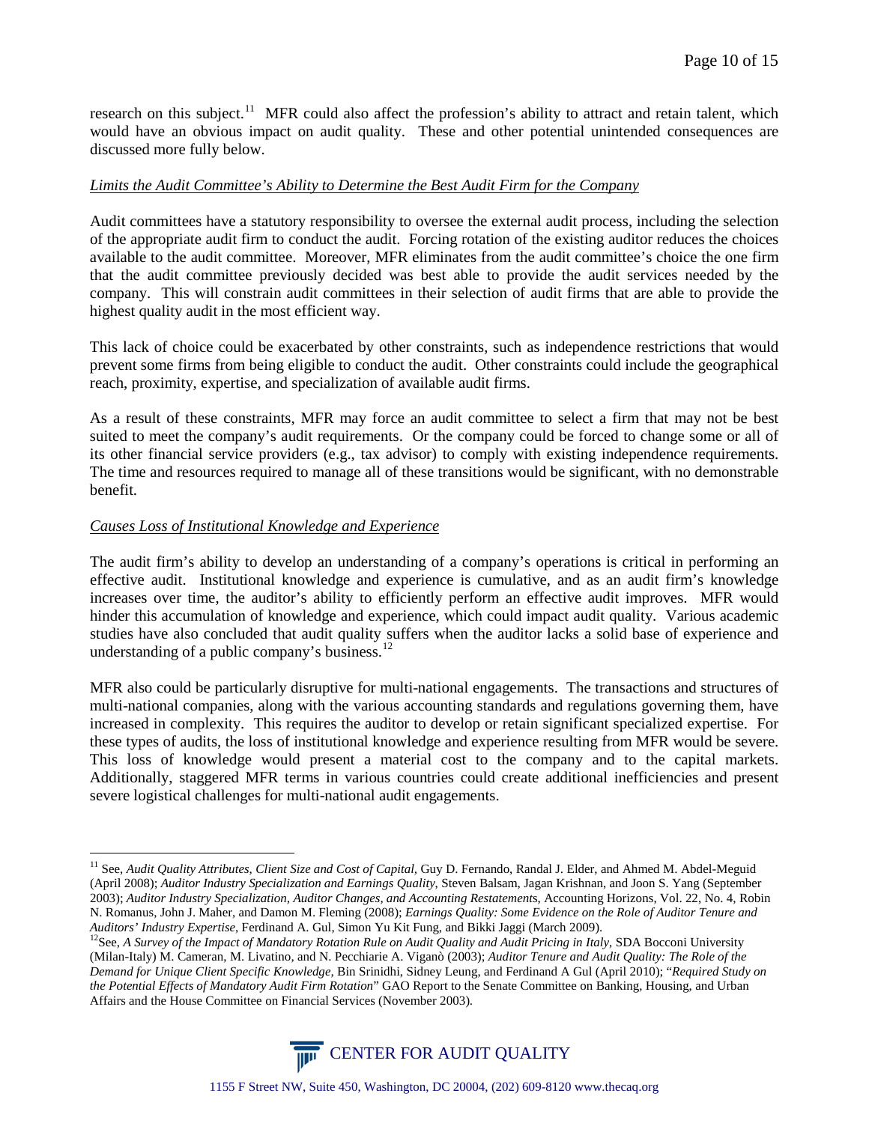research on this subject.<sup>11</sup> MFR could also affect the profession's ability to attract and retain talent, which would have an obvious impact on audit quality. These and other potential unintended consequences are discussed more fully below.

## *Limits the Audit Committee's Ability to Determine the Best Audit Firm for the Company*

Audit committees have a statutory responsibility to oversee the external audit process, including the selection of the appropriate audit firm to conduct the audit. Forcing rotation of the existing auditor reduces the choices available to the audit committee. Moreover, MFR eliminates from the audit committee's choice the one firm that the audit committee previously decided was best able to provide the audit services needed by the company. This will constrain audit committees in their selection of audit firms that are able to provide the highest quality audit in the most efficient way.

This lack of choice could be exacerbated by other constraints, such as independence restrictions that would prevent some firms from being eligible to conduct the audit. Other constraints could include the geographical reach, proximity, expertise, and specialization of available audit firms.

As a result of these constraints, MFR may force an audit committee to select a firm that may not be best suited to meet the company's audit requirements. Or the company could be forced to change some or all of its other financial service providers (e.g., tax advisor) to comply with existing independence requirements. The time and resources required to manage all of these transitions would be significant, with no demonstrable benefit.

# *Causes Loss of Institutional Knowledge and Experience*

The audit firm's ability to develop an understanding of a company's operations is critical in performing an effective audit. Institutional knowledge and experience is cumulative, and as an audit firm's knowledge increases over time, the auditor's ability to efficiently perform an effective audit improves. MFR would hinder this accumulation of knowledge and experience, which could impact audit quality. Various academic studies have also concluded that audit quality suffers when the auditor lacks a solid base of experience and understanding of a public company's business.<sup>[12](#page-9-1)</sup>

MFR also could be particularly disruptive for multi-national engagements. The transactions and structures of multi-national companies, along with the various accounting standards and regulations governing them, have increased in complexity. This requires the auditor to develop or retain significant specialized expertise. For these types of audits, the loss of institutional knowledge and experience resulting from MFR would be severe. This loss of knowledge would present a material cost to the company and to the capital markets. Additionally, staggered MFR terms in various countries could create additional inefficiencies and present severe logistical challenges for multi-national audit engagements.

<span id="page-9-1"></span>Auditors' Industry Expertise, Ferdinand A. Gul, Simon Yu Kit Fung, and Bikki Jaggi (March 2009).<br><sup>12</sup>See, A Survey of the Impact of Mandatory Rotation Rule on Audit Quality and Audit Pricing in Italy, SDA Bocconi Universit (Milan-Italy) M. Cameran, M. Livatino, and N. Pecchiarie A. Viganò (2003); *Auditor Tenure and Audit Quality: The Role of the Demand for Unique Client Specific Knowledge,* Bin Srinidhi, Sidney Leung, and Ferdinand A Gul (April 2010); "*Required Study on the Potential Effects of Mandatory Audit Firm Rotation*" GAO Report to the Senate Committee on Banking, Housing, and Urban Affairs and the House Committee on Financial Services (November 2003).



<span id="page-9-0"></span><sup>&</sup>lt;sup>11</sup> See, Audit Ouality Attributes, Client Size and Cost of Capital, Guy D. Fernando, Randal J. Elder, and Ahmed M. Abdel-Meguid (April 2008); *Auditor Industry Specialization and Earnings Quality*, Steven Balsam, Jagan Krishnan, and Joon S. Yang (September 2003); *Auditor Industry Specialization, Auditor Changes, and Accounting Restatement*s, Accounting Horizons, Vol. 22, No. 4, Robin N. Romanus, John J. Maher, and Damon M. Fleming (2008); *Earnings Quality: Some Evidence on the Role of Auditor Tenure and*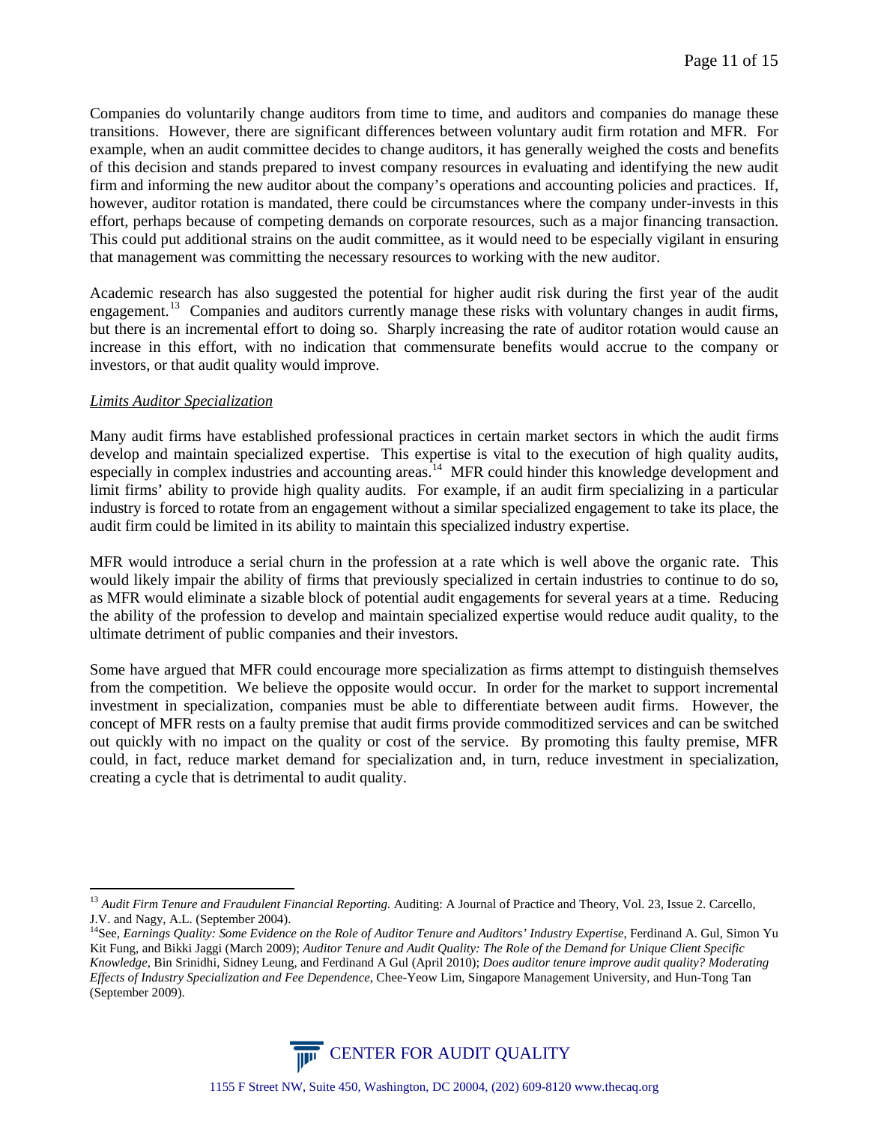Companies do voluntarily change auditors from time to time, and auditors and companies do manage these transitions. However, there are significant differences between voluntary audit firm rotation and MFR. For example, when an audit committee decides to change auditors, it has generally weighed the costs and benefits of this decision and stands prepared to invest company resources in evaluating and identifying the new audit firm and informing the new auditor about the company's operations and accounting policies and practices. If, however, auditor rotation is mandated, there could be circumstances where the company under-invests in this effort, perhaps because of competing demands on corporate resources, such as a major financing transaction. This could put additional strains on the audit committee, as it would need to be especially vigilant in ensuring that management was committing the necessary resources to working with the new auditor.

Academic research has also suggested the potential for higher audit risk during the first year of the audit engagement.<sup>[13](#page-10-0)</sup> Companies and auditors currently manage these risks with voluntary changes in audit firms, but there is an incremental effort to doing so. Sharply increasing the rate of auditor rotation would cause an increase in this effort, with no indication that commensurate benefits would accrue to the company or investors, or that audit quality would improve.

### *Limits Auditor Specialization*

Many audit firms have established professional practices in certain market sectors in which the audit firms develop and maintain specialized expertise. This expertise is vital to the execution of high quality audits, especially in complex industries and accounting areas.<sup>14</sup> MFR could hinder this knowledge development and limit firms' ability to provide high quality audits. For example, if an audit firm specializing in a particular industry is forced to rotate from an engagement without a similar specialized engagement to take its place, the audit firm could be limited in its ability to maintain this specialized industry expertise.

MFR would introduce a serial churn in the profession at a rate which is well above the organic rate. This would likely impair the ability of firms that previously specialized in certain industries to continue to do so, as MFR would eliminate a sizable block of potential audit engagements for several years at a time. Reducing the ability of the profession to develop and maintain specialized expertise would reduce audit quality, to the ultimate detriment of public companies and their investors.

Some have argued that MFR could encourage more specialization as firms attempt to distinguish themselves from the competition. We believe the opposite would occur. In order for the market to support incremental investment in specialization, companies must be able to differentiate between audit firms. However, the concept of MFR rests on a faulty premise that audit firms provide commoditized services and can be switched out quickly with no impact on the quality or cost of the service. By promoting this faulty premise, MFR could, in fact, reduce market demand for specialization and, in turn, reduce investment in specialization, creating a cycle that is detrimental to audit quality.

<span id="page-10-1"></span><sup>&</sup>lt;sup>14</sup>See, *Earnings Quality: Some Evidence on the Role of Auditor Tenure and Auditors' Industry Expertise, Ferdinand A. Gul, Simon Yu* Kit Fung, and Bikki Jaggi (March 2009); *Auditor Tenure and Audit Quality: The Role of the Demand for Unique Client Specific Knowledge,* Bin Srinidhi, Sidney Leung, and Ferdinand A Gul (April 2010); *Does auditor tenure improve audit quality? Moderating Effects of Industry Specialization and Fee Dependence*, Chee-Yeow Lim, Singapore Management University, and Hun-Tong Tan (September 2009).



<span id="page-10-0"></span><sup>&</sup>lt;sup>13</sup> *Audit Firm Tenure and Fraudulent Financial Reporting.* Auditing: A Journal of Practice and Theory, Vol. 23, Issue 2. Carcello, J.V. and Nagy, A.L. (September 2004).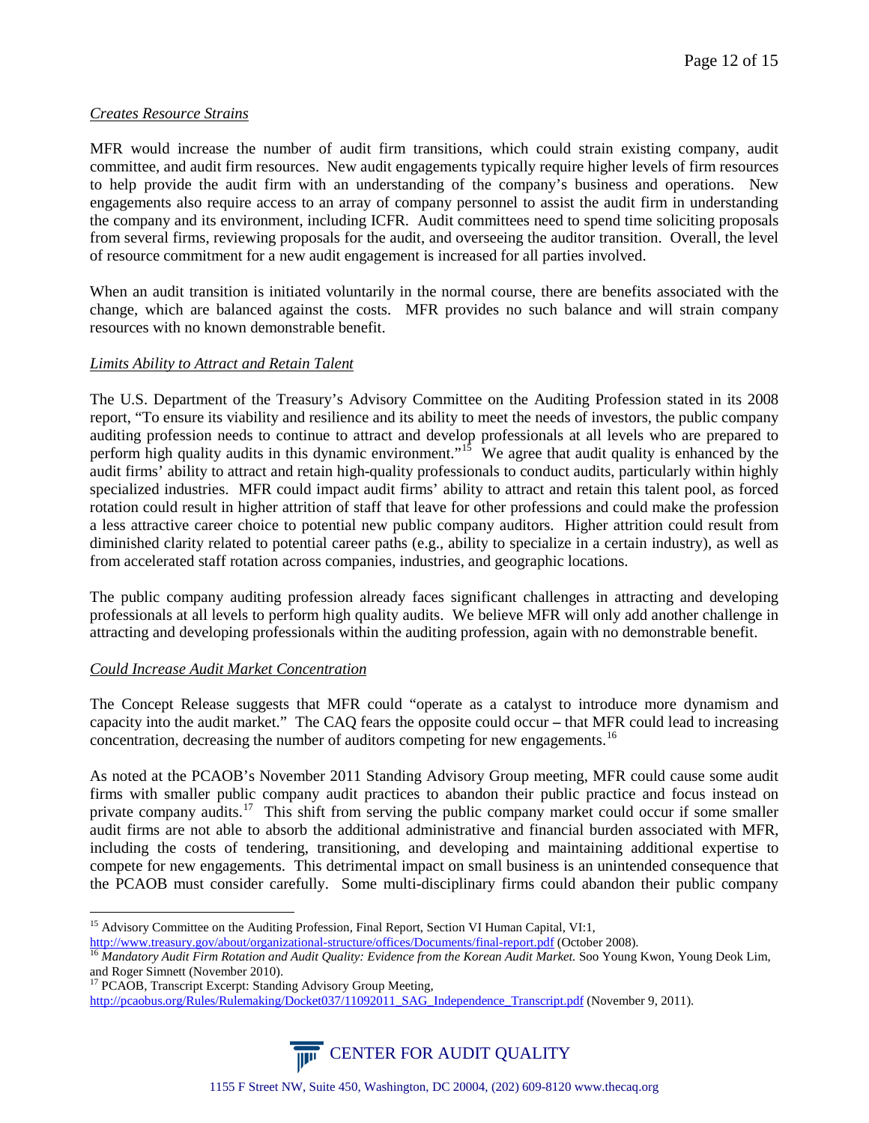# *Creates Resource Strains*

MFR would increase the number of audit firm transitions, which could strain existing company, audit committee, and audit firm resources. New audit engagements typically require higher levels of firm resources to help provide the audit firm with an understanding of the company's business and operations. New engagements also require access to an array of company personnel to assist the audit firm in understanding the company and its environment, including ICFR. Audit committees need to spend time soliciting proposals from several firms, reviewing proposals for the audit, and overseeing the auditor transition. Overall, the level of resource commitment for a new audit engagement is increased for all parties involved.

When an audit transition is initiated voluntarily in the normal course, there are benefits associated with the change, which are balanced against the costs. MFR provides no such balance and will strain company resources with no known demonstrable benefit.

# *Limits Ability to Attract and Retain Talent*

The U.S. Department of the Treasury's Advisory Committee on the Auditing Profession stated in its 2008 report, "To ensure its viability and resilience and its ability to meet the needs of investors, the public company auditing profession needs to continue to attract and develop professionals at all levels who are prepared to perform high quality audits in this dynamic environment."<sup>[15](#page-11-0)</sup> We agree that audit quality is enhanced by the audit firms' ability to attract and retain high-quality professionals to conduct audits, particularly within highly specialized industries. MFR could impact audit firms' ability to attract and retain this talent pool, as forced rotation could result in higher attrition of staff that leave for other professions and could make the profession a less attractive career choice to potential new public company auditors. Higher attrition could result from diminished clarity related to potential career paths (e.g., ability to specialize in a certain industry), as well as from accelerated staff rotation across companies, industries, and geographic locations.

The public company auditing profession already faces significant challenges in attracting and developing professionals at all levels to perform high quality audits. We believe MFR will only add another challenge in attracting and developing professionals within the auditing profession, again with no demonstrable benefit.

# *Could Increase Audit Market Concentration*

The Concept Release suggests that MFR could "operate as a catalyst to introduce more dynamism and capacity into the audit market." The CAQ fears the opposite could occur **–** that MFR could lead to increasing concentration, decreasing the number of auditors competing for new engagements.<sup>[16](#page-11-1)</sup>

As noted at the PCAOB's November 2011 Standing Advisory Group meeting, MFR could cause some audit firms with smaller public company audit practices to abandon their public practice and focus instead on private company audits.<sup>[17](#page-11-2)</sup> This shift from serving the public company market could occur if some smaller audit firms are not able to absorb the additional administrative and financial burden associated with MFR, including the costs of tendering, transitioning, and developing and maintaining additional expertise to compete for new engagements. This detrimental impact on small business is an unintended consequence that the PCAOB must consider carefully. Some multi-disciplinary firms could abandon their public company

[http://pcaobus.org/Rules/Rulemaking/Docket037/11092011\\_SAG\\_Independence\\_Transcript.pdf](http://pcaobus.org/Rules/Rulemaking/Docket037/11092011_SAG_Independence_Transcript.pdf) (November 9, 2011).



<span id="page-11-0"></span><sup>&</sup>lt;sup>15</sup> Advisory Committee on the Auditing Profession, Final Report, Section VI Human Capital, VI:1,

<span id="page-11-1"></span><http://www.treasury.gov/about/organizational-structure/offices/Documents/final-report.pdf> (October 2008).<br><sup>16</sup> Mandatory Audit Firm Rotation and Audit Quality: Evidence from the Korean Audit Market. Soo Young Kwon, Young D and Roger Simnett (November 2010).<br><sup>17</sup> PCAOB, [Transcript Excerpt: Standing Advisory Group Meeting,](http://pcaobus.org/Rules/Rulemaking/Docket037/11092011_SAG_Independence_Transcript.pdf)

<span id="page-11-2"></span>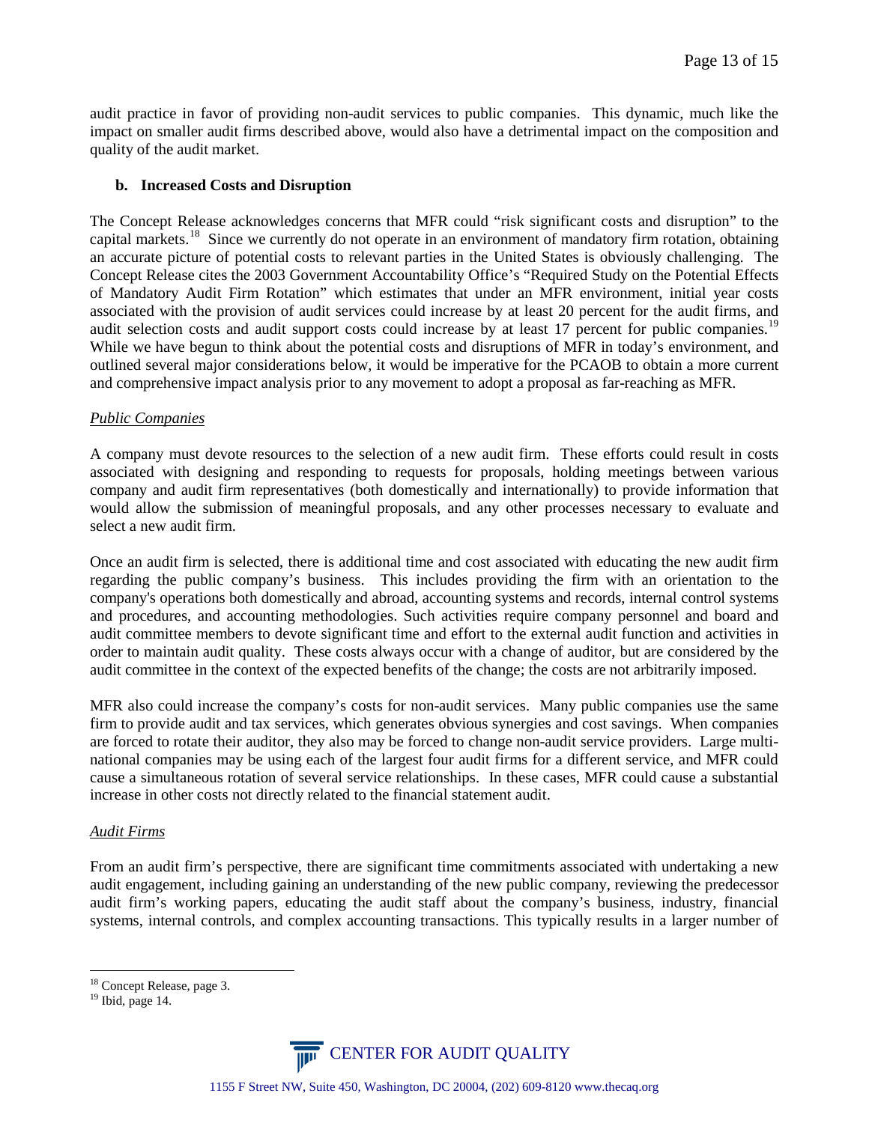audit practice in favor of providing non-audit services to public companies. This dynamic, much like the impact on smaller audit firms described above, would also have a detrimental impact on the composition and quality of the audit market.

# **b. Increased Costs and Disruption**

The Concept Release acknowledges concerns that MFR could "risk significant costs and disruption" to the capital markets.<sup>[18](#page-12-0)</sup> Since we currently do not operate in an environment of mandatory firm rotation, obtaining an accurate picture of potential costs to relevant parties in the United States is obviously challenging. The Concept Release cites the 2003 Government Accountability Office's "Required Study on the Potential Effects of Mandatory Audit Firm Rotation" which estimates that under an MFR environment, initial year costs associated with the provision of audit services could increase by at least 20 percent for the audit firms, and audit selection costs and audit support costs could increase by at least 17 percent for public companies.<sup>[19](#page-12-1)</sup> While we have begun to think about the potential costs and disruptions of MFR in today's environment, and outlined several major considerations below, it would be imperative for the PCAOB to obtain a more current and comprehensive impact analysis prior to any movement to adopt a proposal as far-reaching as MFR.

# *Public Companies*

A company must devote resources to the selection of a new audit firm. These efforts could result in costs associated with designing and responding to requests for proposals, holding meetings between various company and audit firm representatives (both domestically and internationally) to provide information that would allow the submission of meaningful proposals, and any other processes necessary to evaluate and select a new audit firm.

Once an audit firm is selected, there is additional time and cost associated with educating the new audit firm regarding the public company's business. This includes providing the firm with an orientation to the company's operations both domestically and abroad, accounting systems and records, internal control systems and procedures, and accounting methodologies. Such activities require company personnel and board and audit committee members to devote significant time and effort to the external audit function and activities in order to maintain audit quality. These costs always occur with a change of auditor, but are considered by the audit committee in the context of the expected benefits of the change; the costs are not arbitrarily imposed.

MFR also could increase the company's costs for non-audit services. Many public companies use the same firm to provide audit and tax services, which generates obvious synergies and cost savings. When companies are forced to rotate their auditor, they also may be forced to change non-audit service providers. Large multinational companies may be using each of the largest four audit firms for a different service, and MFR could cause a simultaneous rotation of several service relationships. In these cases, MFR could cause a substantial increase in other costs not directly related to the financial statement audit.

# *Audit Firms*

From an audit firm's perspective, there are significant time commitments associated with undertaking a new audit engagement, including gaining an understanding of the new public company, reviewing the predecessor audit firm's working papers, educating the audit staff about the company's business, industry, financial systems, internal controls, and complex accounting transactions. This typically results in a larger number of



<span id="page-12-1"></span><span id="page-12-0"></span> $18$  Concept Release, page 3.<br> $19$  Ibid, page 14.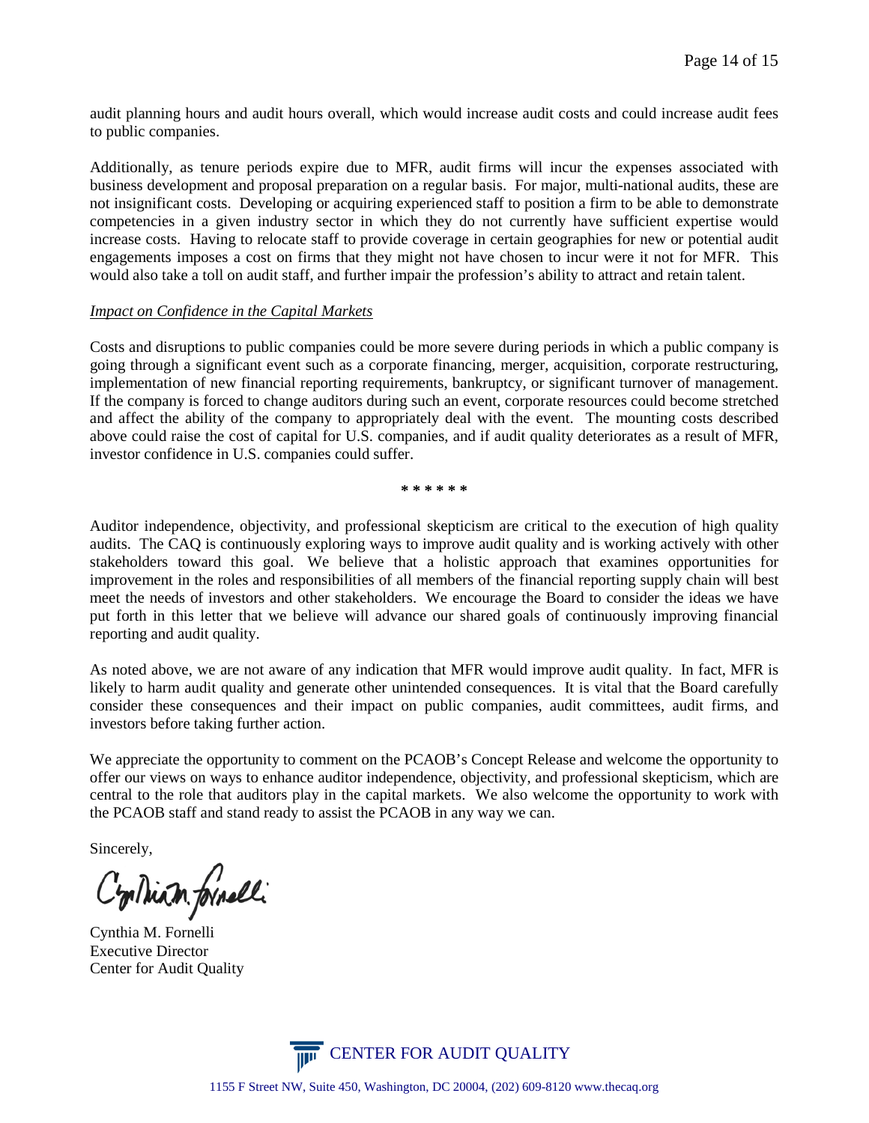audit planning hours and audit hours overall, which would increase audit costs and could increase audit fees to public companies.

Additionally, as tenure periods expire due to MFR, audit firms will incur the expenses associated with business development and proposal preparation on a regular basis. For major, multi-national audits, these are not insignificant costs. Developing or acquiring experienced staff to position a firm to be able to demonstrate competencies in a given industry sector in which they do not currently have sufficient expertise would increase costs. Having to relocate staff to provide coverage in certain geographies for new or potential audit engagements imposes a cost on firms that they might not have chosen to incur were it not for MFR. This would also take a toll on audit staff, and further impair the profession's ability to attract and retain talent.

### *Impact on Confidence in the Capital Markets*

Costs and disruptions to public companies could be more severe during periods in which a public company is going through a significant event such as a corporate financing, merger, acquisition, corporate restructuring, implementation of new financial reporting requirements, bankruptcy, or significant turnover of management. If the company is forced to change auditors during such an event, corporate resources could become stretched and affect the ability of the company to appropriately deal with the event. The mounting costs described above could raise the cost of capital for U.S. companies, and if audit quality deteriorates as a result of MFR, investor confidence in U.S. companies could suffer.

**\* \* \* \* \* \***

Auditor independence, objectivity, and professional skepticism are critical to the execution of high quality audits. The CAQ is continuously exploring ways to improve audit quality and is working actively with other stakeholders toward this goal. We believe that a holistic approach that examines opportunities for improvement in the roles and responsibilities of all members of the financial reporting supply chain will best meet the needs of investors and other stakeholders. We encourage the Board to consider the ideas we have put forth in this letter that we believe will advance our shared goals of continuously improving financial reporting and audit quality.

As noted above, we are not aware of any indication that MFR would improve audit quality. In fact, MFR is likely to harm audit quality and generate other unintended consequences. It is vital that the Board carefully consider these consequences and their impact on public companies, audit committees, audit firms, and investors before taking further action.

We appreciate the opportunity to comment on the PCAOB's Concept Release and welcome the opportunity to offer our views on ways to enhance auditor independence, objectivity, and professional skepticism, which are central to the role that auditors play in the capital markets. We also welcome the opportunity to work with the PCAOB staff and stand ready to assist the PCAOB in any way we can.

Sincerely,

C'miliam formelli

Cynthia M. Fornelli Executive Director Center for Audit Quality